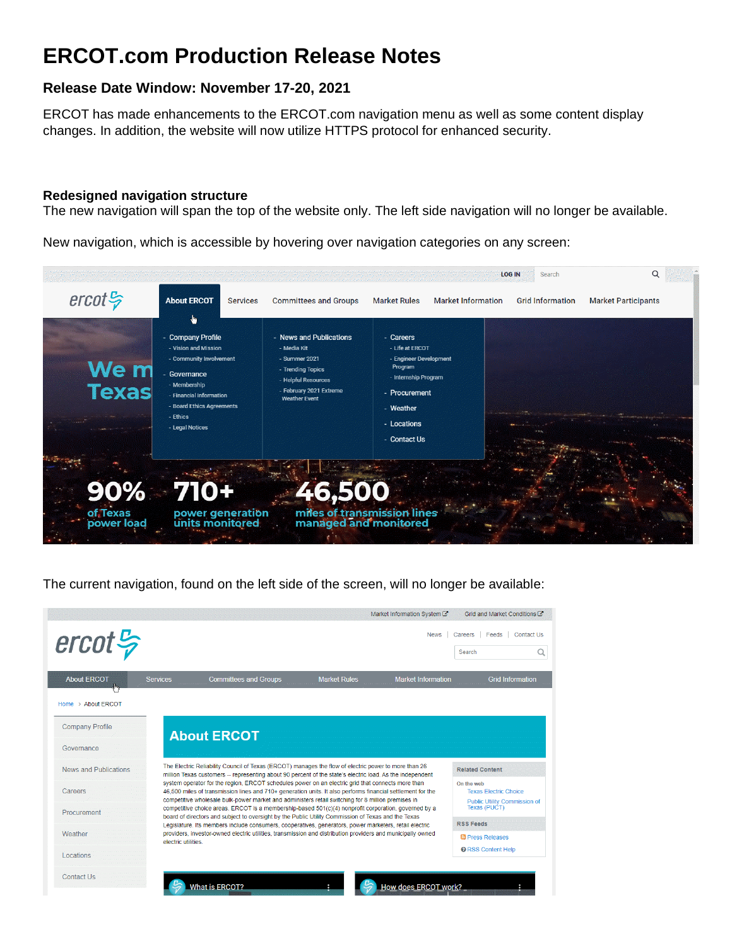# **ERCOT.com Production Release Notes**

# **Release Date Window: November 17-20, 2021**

ERCOT has made enhancements to the ERCOT.com navigation menu as well as some content display changes. In addition, the website will now utilize HTTPS protocol for enhanced security.

#### **Redesigned navigation structure**

The new navigation will span the top of the website only. The left side navigation will no longer be available.

New navigation, which is accessible by hovering over navigation categories on any screen:



The current navigation, found on the left side of the screen, will no longer be available:

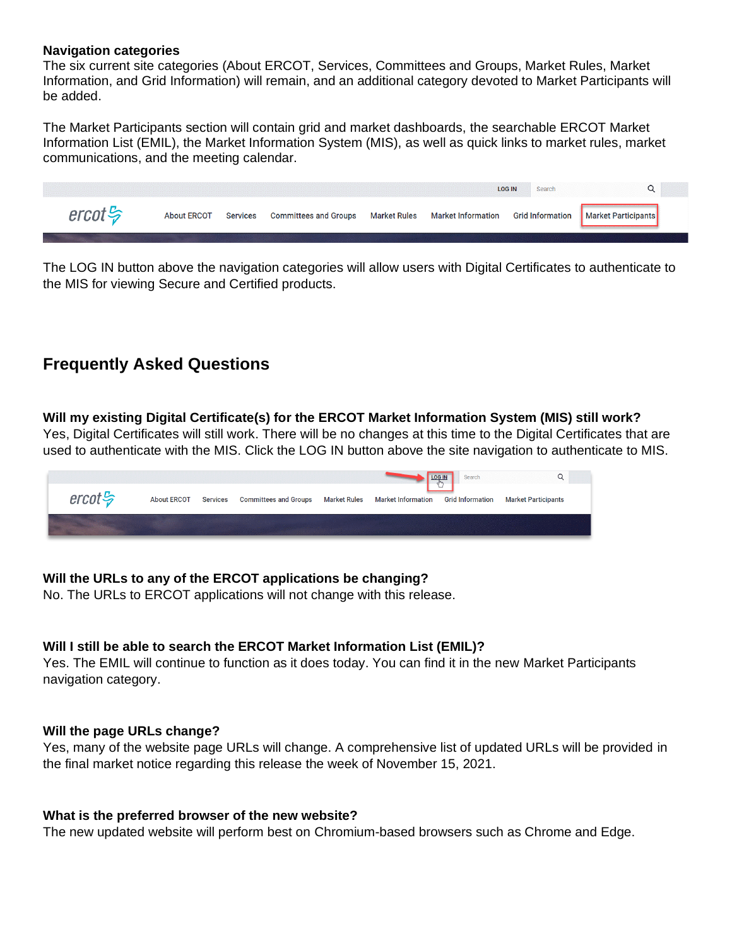#### **Navigation categories**

The six current site categories (About ERCOT, Services, Committees and Groups, Market Rules, Market Information, and Grid Information) will remain, and an additional category devoted to Market Participants will be added.

The Market Participants section will contain grid and market dashboards, the searchable ERCOT Market Information List (EMIL), the Market Information System (MIS), as well as quick links to market rules, market communications, and the meeting calendar.

|                                          | <b>LOG IN</b>      |                 |                              |  |                                                                        |  | Search |  |
|------------------------------------------|--------------------|-----------------|------------------------------|--|------------------------------------------------------------------------|--|--------|--|
| $\textit{ercot}\, \frac{\mathcal{L}}{2}$ | <b>About ERCOT</b> | <b>Services</b> | <b>Committees and Groups</b> |  | Market Rules Market Information Grid Information   Market Participants |  |        |  |
|                                          |                    |                 |                              |  |                                                                        |  |        |  |

The LOG IN button above the navigation categories will allow users with Digital Certificates to authenticate to the MIS for viewing Secure and Certified products.

# **Frequently Asked Questions**

**Will my existing Digital Certificate(s) for the ERCOT Market Information System (MIS) still work?**  Yes, Digital Certificates will still work. There will be no changes at this time to the Digital Certificates that are used to authenticate with the MIS. Click the LOG IN button above the site navigation to authenticate to MIS.

|                       |                    |                 |                              |                     |                           | Search                  |                            |
|-----------------------|--------------------|-----------------|------------------------------|---------------------|---------------------------|-------------------------|----------------------------|
| $ercot \frac{\pi}{2}$ | <b>About ERCOT</b> | <b>Services</b> | <b>Committees and Groups</b> | <b>Market Rules</b> | <b>Market Information</b> | <b>Grid Information</b> | <b>Market Participants</b> |
|                       |                    |                 |                              |                     |                           |                         |                            |

### **Will the URLs to any of the ERCOT applications be changing?**

No. The URLs to ERCOT applications will not change with this release.

### **Will I still be able to search the ERCOT Market Information List (EMIL)?**

Yes. The EMIL will continue to function as it does today. You can find it in the new Market Participants navigation category.

#### **Will the page URLs change?**

Yes, many of the website page URLs will change. A comprehensive list of updated URLs will be provided in the final market notice regarding this release the week of November 15, 2021.

#### **What is the preferred browser of the new website?**

The new updated website will perform best on Chromium-based browsers such as Chrome and Edge.